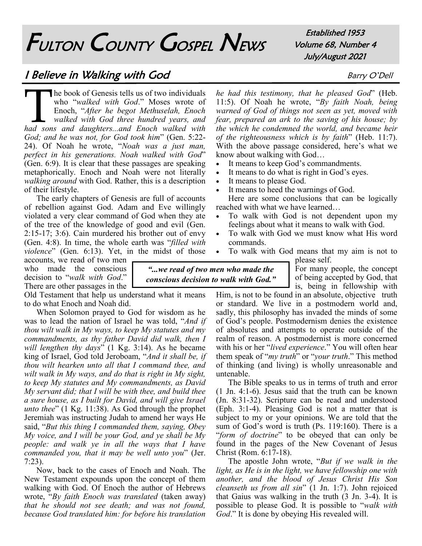# FULTON COUNTY GOSPEL NEWS

Established 1953 Volume 68, Number 4 July/August 2021

### I Believe in Walking with God Barry O'Dell

The book of Genesis tells us of two individuals<br>who "*walked with God.*" Moses wrote of<br>Enoch, "*After he begot Methuselah, Enoch*<br>walked with God three hundred years, and<br>had sons and daughters...and Enoch walked with he book of Genesis tells us of two individuals who "*walked with God*." Moses wrote of Enoch, "*After he begot Methuselah, Enoch walked with God three hundred years, and God; and he was not, for God took him*" (Gen. 5:22- 24). Of Noah he wrote, "*Noah was a just man, perfect in his generations. Noah walked with God*" (Gen. 6:9). It is clear that these passages are speaking metaphorically. Enoch and Noah were not literally *walking around* with God. Rather, this is a description of their lifestyle.

The early chapters of Genesis are full of accounts of rebellion against God. Adam and Eve willingly violated a very clear command of God when they ate of the tree of the knowledge of good and evil (Gen. 2:15-17; 3:6). Cain murdered his brother out of envy (Gen. 4:8). In time, the whole earth was "*filled with violence*" (Gen. 6:13). Yet, in the midst of those

accounts, we read of two men who made the conscious decision to "*walk with God*." There are other passages in the

Old Testament that help us understand what it means to do what Enoch and Noah did.

When Solomon prayed to God for wisdom as he was to lead the nation of Israel he was told, "*And if thou wilt walk in My ways, to keep My statutes and my commandments, as thy father David did walk, then I will lengthen thy days*" (1 Kg. 3:14). As he became king of Israel, God told Jeroboam, "*And it shall be, if thou wilt hearken unto all that I command thee, and wilt walk in My ways, and do that is right in My sight, to keep My statutes and My commandments, as David My servant did; that I will be with thee, and build thee a sure house, as I built for David, and will give Israel unto thee*" (1 Kg. 11:38). As God through the prophet Jeremiah was instructing Judah to amend her ways He said, "*But this thing I commanded them, saying, Obey My voice, and I will be your God, and ye shall be My people: and walk ye in all the ways that I have commanded you, that it may be well unto you*" (Jer. 7:23).

Now, back to the cases of Enoch and Noah. The New Testament expounds upon the concept of them walking with God. Of Enoch the author of Hebrews wrote, "*By faith Enoch was translated* (taken away) *that he should not see death; and was not found, because God translated him: for before his translation* 

*he had this testimony, that he pleased God*" (Heb. 11:5). Of Noah he wrote, "*By faith Noah, being warned of God of things not seen as yet, moved with fear, prepared an ark to the saving of his house; by the which he condemned the world, and became heir of the righteousness which is by faith*" (Heb. 11:7). With the above passage considered, here's what we know about walking with God…

- It means to keep God's commandments.
- It means to do what is right in God's eyes.
- It means to please God.
- It means to heed the warnings of God.

Here are some conclusions that can be logically reached with what we have learned…

- To walk with God is not dependent upon my feelings about what it means to walk with God.
- To walk with God we must know what His word commands.
- To walk with God means that my aim is not to

*"...we read of two men who made the conscious decision to walk with God."* please self. For many people, the concept of being accepted by God, that

is, being in fellowship with Him, is not to be found in an absolute, objective truth or standard. We live in a postmodern world and, sadly, this philosophy has invaded the minds of some of God's people. Postmodernism denies the existence of absolutes and attempts to operate outside of the realm of reason. A postmodernist is more concerned with his or her "*lived experience*." You will often hear them speak of "*my truth*" or "*your truth*." This method of thinking (and living) is wholly unreasonable and untenable.

The Bible speaks to us in terms of truth and error (1 Jn. 4:1-6). Jesus said that the truth can be known (Jn. 8:31-32). Scripture can be read and understood (Eph. 3:1-4). Pleasing God is not a matter that is subject to my or your opinions. We are told that the sum of God's word is truth (Ps. 119:160). There is a "*form of doctrine*" to be obeyed that can only be found in the pages of the New Covenant of Jesus Christ (Rom. 6:17-18).

The apostle John wrote, "*But if we walk in the light, as He is in the light, we have fellowship one with another, and the blood of Jesus Christ His Son cleanseth us from all sin*" (1 Jn. 1:7). John rejoiced that Gaius was walking in the truth (3 Jn. 3-4). It is possible to please God. It is possible to "*walk with God*." It is done by obeying His revealed will.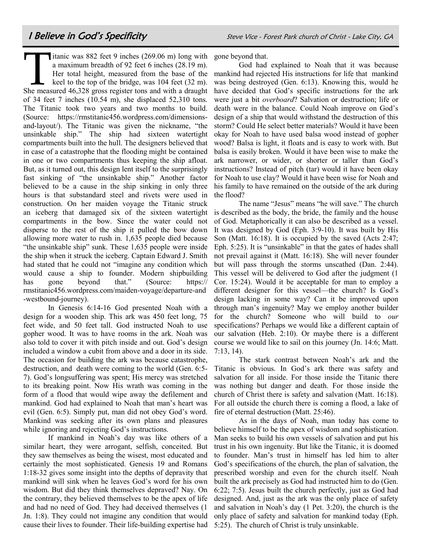Titanic was 882 feet 9 inches (269.06 m) long with<br>a maximum breadth of 92 feet 6 inches (28.19 m).<br>Her total height, measured from the base of the<br>keel to the top of the bridge, was 104 feet (32 m).<br>She measured 46,328 gr itanic was 882 feet 9 inches (269.06 m) long with gone beyond that. a maximum breadth of 92 feet 6 inches (28.19 m). Her total height, measured from the base of the keel to the top of the bridge, was 104 feet (32 m). of 34 feet 7 inches (10.54 m), she displaced 52,310 tons. The Titanic took two years and two months to build. (Source: https://rmstitanic456.wordpress.com/dimensionsand-layout/). The Titanic was given the nickname, "the unsinkable ship." The ship had sixteen watertight compartments built into the hull. The designers believed that in case of a catastrophe that the flooding might be contained in one or two compartments thus keeping the ship afloat. But, as it turned out, this design lent itself to the surprisingly fast sinking of "the unsinkable ship." Another factor believed to be a cause in the ship sinking in only three hours is that substandard steel and rivets were used in construction. On her maiden voyage the Titanic struck an iceberg that damaged six of the sixteen watertight compartments in the bow. Since the water could not disperse to the rest of the ship it pulled the bow down allowing more water to rush in. 1,635 people died because "the unsinkable ship" sunk. These 1,635 people were inside the ship when it struck the iceberg. Captain Edward J. Smith had stated that he could not "imagine any condition which would cause a ship to founder. Modern shipbuilding has gone beyond that." (Source: https:// rmstitanic456.wordpress.com/maiden-voyage/departure-and -westbound-journey).

In Genesis 6:14-16 God presented Noah with a design for a wooden ship. This ark was 450 feet long, 75 feet wide, and 50 feet tall. God instructed Noah to use gopher wood. It was to have rooms in the ark. Noah was also told to cover it with pitch inside and out. God's design included a window a cubit from above and a door in its side. The occasion for building the ark was because catastrophe, destruction, and death were coming to the world (Gen. 6:5- 7). God's longsuffering was spent; His mercy was stretched to its breaking point. Now His wrath was coming in the form of a flood that would wipe away the defilement and mankind. God had explained to Noah that man's heart was evil (Gen. 6:5). Simply put, man did not obey God's word. Mankind was seeking after its own plans and pleasures while ignoring and rejecting God's instructions.

If mankind in Noah's day was like others of a similar heart, they were arrogant, selfish, conceited. But they saw themselves as being the wisest, most educated and certainly the most sophisticated. Genesis 19 and Romans 1:18-32 gives some insight into the depths of depravity that mankind will sink when he leaves God's word for his own wisdom. But did they think themselves depraved? Nay. On the contrary, they believed themselves to be the apex of life and had no need of God. They had deceived themselves (1 Jn. 1:8). They could not imagine any condition that would cause their lives to founder. Their life-building expertise had

God had explained to Noah that it was because mankind had rejected His instructions for life that mankind was being destroyed (Gen. 6:13). Knowing this, would he have decided that God's specific instructions for the ark were just a bit *overboard*? Salvation or destruction; life or death were in the balance. Could Noah improve on God's design of a ship that would withstand the destruction of this storm? Could He select better materials? Would it have been okay for Noah to have used balsa wood instead of gopher wood? Balsa is light, it floats and is easy to work with. But balsa is easily broken. Would it have been wise to make the ark narrower, or wider, or shorter or taller than God's instructions? Instead of pitch (tar) would it have been okay for Noah to use clay? Would it have been wise for Noah and his family to have remained on the outside of the ark during the flood?

The name "Jesus" means "he will save." The church is described as the body, the bride, the family and the house of God. Metaphorically it can also be described as a vessel. It was designed by God (Eph. 3:9-10). It was built by His Son (Matt. 16:18). It is occupied by the saved (Acts 2:47; Eph. 5:25). It is "unsinkable" in that the gates of hades shall not prevail against it (Matt. 16:18). She will never founder but will pass through the storms unscathed (Dan. 2:44). This vessel will be delivered to God after the judgment (1 Cor. 15:24). Would it be acceptable for man to employ a different designer for this vessel—the church? Is God's design lacking in some way? Can it be improved upon through man's ingenuity? May we employ another builder for the church? Someone who will build to *our* specifications? Perhaps we would like a different captain of our salvation (Heb. 2:10). Or maybe there is a different course we would like to sail on this journey (Jn. 14:6; Matt. 7:13, 14).

The stark contrast between Noah's ark and the Titanic is obvious. In God's ark there was safety and salvation for all inside. For those inside the Titanic there was nothing but danger and death. For those inside the church of Christ there is safety and salvation (Matt. 16:18). For all outside the church there is coming a flood, a lake of fire of eternal destruction (Matt. 25:46).

As in the days of Noah, man today has come to believe himself to be the apex of wisdom and sophistication. Man seeks to build his own vessels of salvation and put his trust in his own ingenuity. But like the Titanic, it is doomed to founder. Man's trust in himself has led him to alter God's specifications of the church, the plan of salvation, the prescribed worship and even for the church itself. Noah built the ark precisely as God had instructed him to do (Gen. 6:22; 7:5). Jesus built the church perfectly, just as God had designed. And, just as the ark was the only place of safety and salvation in Noah's day (1 Pet. 3:20), the church is the only place of safety and salvation for mankind today (Eph. 5:25). The church of Christ is truly unsinkable.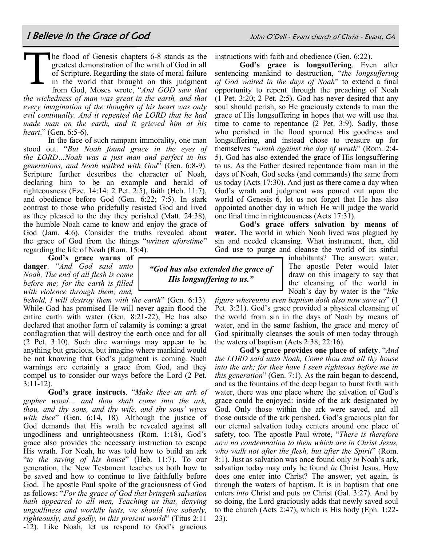T he flood of Genesis chapters 6-8 stands as the greatest demonstration of the wrath of God in all of Scripture. Regarding the state of moral failure in the world that brought on this judgment from God, Moses wrote, "*And GOD saw that the wickedness of man was great in the earth, and that every imagination of the thoughts of his heart was only evil continually. And it repented the LORD that he had made man on the earth, and it grieved him at his heart*." (Gen. 6:5-6).

In the face of such rampant immorality, one man stood out. "*But Noah found grace in the eyes of the LORD…Noah was a just man and perfect in his generations, and Noah walked with God*" (Gen. 6:8-9). Scripture further describes the character of Noah, declaring him to be an example and herald of righteousness (Eze. 14:14; 2 Pet. 2:5), faith (Heb. 11:7), and obedience before God (Gen. 6:22; 7:5). In stark contrast to those who pridefully resisted God and lived as they pleased to the day they perished (Matt. 24:38), the humble Noah came to know and enjoy the grace of God (Jam. 4:6). Consider the truths revealed about the grace of God from the things "*written aforetime*" regarding the life of Noah (Rom. 15:4).

**God's grace warns of danger**. "*And God said unto Noah, The end of all flesh is come before me; for the earth is filled with violence through them; and,* 

*behold, I will destroy them with the earth*" (Gen. 6:13). While God has promised He will never again flood the entire earth with water (Gen. 8:21-22), He has also declared that another form of calamity is coming: a great conflagration that will destroy the earth once and for all (2 Pet. 3:10). Such dire warnings may appear to be anything but gracious, but imagine where mankind would be not knowing that God's judgment is coming. Such warnings are certainly a grace from God, and they compel us to consider our ways before the Lord (2 Pet. 3:11-12).

**God's grace instructs**. "*Make thee an ark of gopher wood… and thou shalt come into the ark, thou, and thy sons, and thy wife, and thy sons' wives with thee*" (Gen. 6:14, 18). Although the justice of God demands that His wrath be revealed against all ungodliness and unrighteousness (Rom. 1:18), God's grace also provides the necessary instruction to escape His wrath. For Noah, he was told how to build an ark "*to the saving of his house*" (Heb. 11:7). To our generation, the New Testament teaches us both how to be saved and how to continue to live faithfully before God. The apostle Paul spoke of the graciousness of God as follows: "*For the grace of God that bringeth salvation hath appeared to all men, Teaching us that, denying ungodliness and worldly lusts, we should live soberly, righteously, and godly, in this present world*" (Titus 2:11 -12). Like Noah, let us respond to God's gracious

instructions with faith and obedience (Gen. 6:22).

**God's grace is longsuffering**. Even after sentencing mankind to destruction, "*the longsuffering of God waited in the days of Noah*" to extend a final opportunity to repent through the preaching of Noah (1 Pet. 3:20; 2 Pet. 2:5). God has never desired that any soul should perish, so He graciously extends to man the grace of His longsuffering in hopes that we will use that time to come to repentance (2 Pet. 3:9). Sadly, those who perished in the flood spurned His goodness and longsuffering, and instead chose to treasure up for themselves "*wrath against the day of wrath*" (Rom. 2:4- 5). God has also extended the grace of His longsuffering to us. As the Father desired repentance from man in the days of Noah, God seeks (and commands) the same from us today (Acts 17:30). And just as there came a day when God's wrath and judgment was poured out upon the world of Genesis 6, let us not forget that He has also appointed another day in which He will judge the world one final time in righteousness (Acts 17:31).

**God's grace offers salvation by means of water.** The world in which Noah lived was plagued by sin and needed cleansing. What instrument, then, did God use to purge and cleanse the world of its sinful

> inhabitants? The answer: water. The apostle Peter would later draw on this imagery to say that the cleansing of the world in Noah's day by water is the "*like*

*figure whereunto even baptism doth also now save us*" (1 Pet. 3:21). God's grace provided a physical cleansing of the world from sin in the days of Noah by means of water, and in the same fashion, the grace and mercy of God spiritually cleanses the souls of men today through the waters of baptism (Acts 2:38; 22:16).

**God's grace provides one place of safety**. "*And the LORD said unto Noah, Come thou and all thy house into the ark; for thee have I seen righteous before me in this generation*" (Gen. 7:1). As the rain began to descend, and as the fountains of the deep began to burst forth with water, there was one place where the salvation of God's grace could be enjoyed: inside of the ark designated by God. Only those within the ark were saved, and all those outside of the ark perished. God's gracious plan for our eternal salvation today centers around one place of safety, too. The apostle Paul wrote, "*There is therefore now no condemnation to them which are in Christ Jesus, who walk not after the flesh, but after the Spirit*" (Rom. 8:1). Just as salvation was once found only *in* Noah's ark, salvation today may only be found *in* Christ Jesus. How does one enter into Christ? The answer, yet again, is through the waters of baptism. It is in baptism that one enters *into* Christ and puts *on* Christ (Gal. 3:27). And by so doing, the Lord graciously adds that newly saved soul to the church (Acts 2:47), which is His body (Eph. 1:22- 23).

*"God has also extended the grace of His longsuffering to us."*